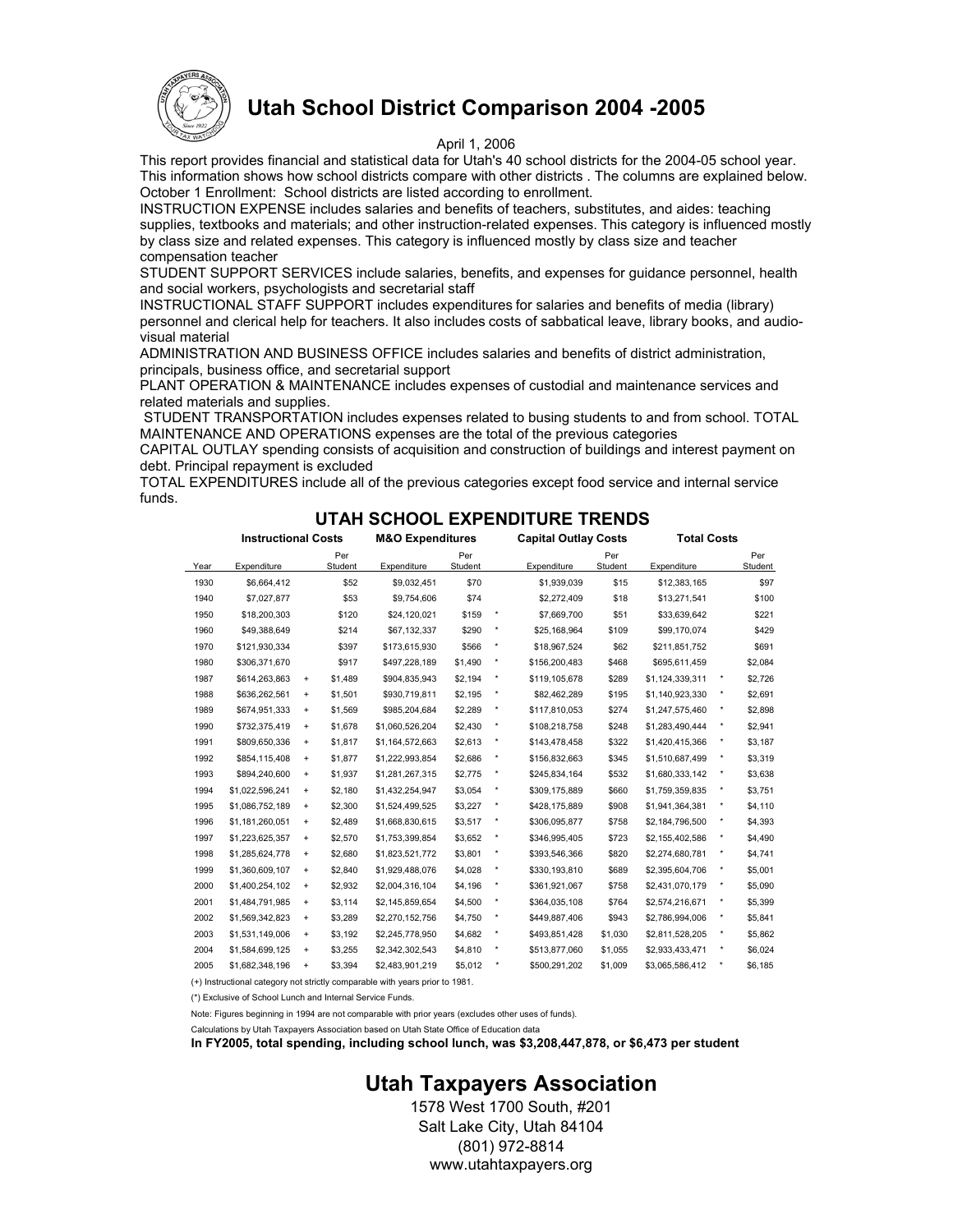

# **Utah School District Comparison 2004 -2005**

#### April 1, 2006

This report provides financial and statistical data for Utah's 40 school districts for the 2004-05 school year. This information shows how school districts compare with other districts . The columns are explained below. October 1 Enrollment: School districts are listed according to enrollment.

INSTRUCTION EXPENSE includes salaries and benefits of teachers, substitutes, and aides: teaching supplies, textbooks and materials; and other instruction-related expenses. This category is influenced mostly by class size and related expenses. This category is influenced mostly by class size and teacher compensation teacher

STUDENT SUPPORT SERVICES include salaries, benefits, and expenses for guidance personnel, health and social workers, psychologists and secretarial staff

INSTRUCTIONAL STAFF SUPPORT includes expenditures for salaries and benefits of media (library) personnel and clerical help for teachers. It also includes costs of sabbatical leave, library books, and audiovisual material

ADMINISTRATION AND BUSINESS OFFICE includes salaries and benefits of district administration, principals, business office, and secretarial support

PLANT OPERATION & MAINTENANCE includes expenses of custodial and maintenance services and related materials and supplies.

 STUDENT TRANSPORTATION includes expenses related to busing students to and from school. TOTAL MAINTENANCE AND OPERATIONS expenses are the total of the previous categories

CAPITAL OUTLAY spending consists of acquisition and construction of buildings and interest payment on debt. Principal repayment is excluded

TOTAL EXPENDITURES include all of the previous categories except food service and internal service funds.

### **UTAH SCHOOL EXPENDITURE TRENDS**

|      | <b>Instructional Costs</b> |                                  |                | <b>M&amp;O Expenditures</b> |                |          | <b>Capital Outlay Costs</b> |                | <b>Total Costs</b> |          |                |  |  |
|------|----------------------------|----------------------------------|----------------|-----------------------------|----------------|----------|-----------------------------|----------------|--------------------|----------|----------------|--|--|
| Year | Expenditure                |                                  | Per<br>Student | Expenditure                 | Per<br>Student |          | Expenditure                 | Per<br>Student | Expenditure        |          | Per<br>Student |  |  |
| 1930 | \$6,664,412                |                                  | \$52           | \$9,032,451                 | \$70           |          | \$1,939,039                 | \$15           | \$12,383,165       |          | \$97           |  |  |
| 1940 | \$7,027,877                |                                  | \$53           | \$9,754,606                 | \$74           |          | \$2,272,409                 | \$18           | \$13,271,541       |          | \$100          |  |  |
| 1950 | \$18,200,303               |                                  | \$120          | \$24,120,021                | \$159          | ۰        | \$7,669,700                 | \$51           | \$33,639,642       |          | \$221          |  |  |
| 1960 | \$49,388,649               |                                  | \$214          | \$67,132,337                | \$290          | $\star$  | \$25,168,964                | \$109          | \$99,170,074       |          | \$429          |  |  |
| 1970 | \$121,930,334              |                                  | \$397          | \$173,615,930               | \$566          | $\star$  | \$18,967,524                | \$62           | \$211,851,752      |          | \$691          |  |  |
| 1980 | \$306,371,670              |                                  | \$917          | \$497,228,189               | \$1,490        |          | \$156,200,483               | \$468          | \$695,611,459      |          | \$2,084        |  |  |
| 1987 | \$614,263,863              | $\ddot{}$                        | \$1.489        | \$904,835,943               | \$2,194        | ۰        | \$119,105,678               | \$289          | \$1,124,339,311    | $\star$  | \$2,726        |  |  |
| 1988 | \$636,262,561              | $\ddot{}$                        | \$1,501        | \$930,719,811               | \$2,195        | $\star$  | \$82,462,289                | \$195          | \$1,140,923,330    | $\star$  | \$2,691        |  |  |
| 1989 | \$674,951,333              | $\ddot{}$                        | \$1,569        | \$985,204,684               | \$2,289        | $\star$  | \$117,810,053               | \$274          | \$1,247,575,460    | $\star$  | \$2,898        |  |  |
| 1990 | \$732,375,419              | $\ddot{}$                        | \$1.678        | \$1,060,526,204             | \$2,430        | ۰        | \$108,218,758               | \$248          | \$1,283,490,444    | $^\star$ | \$2,941        |  |  |
| 1991 | \$809,650,336              | $\ddot{}$                        | \$1,817        | \$1,164,572,663             | \$2,613        | $\star$  | \$143,478,458               | \$322          | \$1,420,415,366    | $\star$  | \$3,187        |  |  |
| 1992 | \$854,115,408              | $\ddot{}$                        | \$1,877        | \$1,222,993,854             | \$2,686        | $\star$  | \$156,832,663               | \$345          | \$1,510,687,499    | ۰        | \$3,319        |  |  |
| 1993 | \$894,240,600              | $\ddot{}$                        | \$1,937        | \$1,281,267,315             | \$2,775        | ۰        | \$245,834,164               | \$532          | \$1,680,333,142    | $^\star$ | \$3,638        |  |  |
| 1994 | \$1,022,596,241            | $\ddot{}$                        | \$2,180        | \$1,432,254,947             | \$3,054        | $\star$  | \$309,175,889               | \$660          | \$1,759,359,835    | $\star$  | \$3,751        |  |  |
| 1995 | \$1,086,752,189            | $\ddot{}$                        | \$2,300        | \$1,524,499,525             | \$3,227        | $^\star$ | \$428,175,889               | \$908          | \$1,941,364,381    | $\star$  | \$4,110        |  |  |
| 1996 | \$1,181,260,051            | $\ddot{}$                        | \$2,489        | \$1,668,830,615             | \$3,517        |          | \$306,095,877               | \$758          | \$2,184,796,500    | $\star$  | \$4,393        |  |  |
| 1997 | \$1,223,625,357            | $\ddot{}$                        | \$2,570        | \$1,753,399,854             | \$3,652        | $^\star$ | \$346,995,405               | \$723          | \$2,155,402,586    | $\star$  | \$4,490        |  |  |
| 1998 | \$1,285,624,778            | $\ddot{}$                        | \$2,680        | \$1,823,521,772             | \$3,801        | ۰        | \$393,546,366               | \$820          | \$2,274,680,781    | $\star$  | \$4,741        |  |  |
| 1999 | \$1,360,609,107            | $\begin{array}{c} + \end{array}$ | \$2,840        | \$1,929,488,076             | \$4,028        | ۰        | \$330,193,810               | \$689          | \$2,395,604,706    | $\star$  | \$5,001        |  |  |
| 2000 | \$1,400,254,102            | $\ddot{}$                        | \$2,932        | \$2,004,316,104             | \$4,196        | ۰        | \$361,921,067               | \$758          | \$2,431,070,179    | ۰        | \$5,090        |  |  |
| 2001 | \$1,484,791,985            | $\ddot{}$                        | \$3,114        | \$2,145,859,654             | \$4,500        | ۰        | \$364,035,108               | \$764          | \$2,574,216,671    | $\star$  | \$5,399        |  |  |
| 2002 | \$1,569,342,823            | $\begin{array}{c} + \end{array}$ | \$3,289        | \$2,270,152,756             | \$4,750        | $\star$  | \$449,887,406               | \$943          | \$2,786,994,006    | $\star$  | \$5,841        |  |  |
| 2003 | \$1,531,149,006            | $\ddot{}$                        | \$3,192        | \$2,245,778,950             | \$4,682        | ۰        | \$493,851,428               | \$1,030        | \$2,811,528,205    | ۰        | \$5,862        |  |  |
| 2004 | \$1,584,699,125            | $\begin{array}{c} + \end{array}$ | \$3,255        | \$2,342,302,543             | \$4,810        | ۰        | \$513,877,060               | \$1,055        | \$2,933,433,471    | ۰        | \$6,024        |  |  |
| 2005 | \$1,682,348,196            | $\ddot{}$                        | \$3,394        | \$2,483,901,219             | \$5,012        | ۰        | \$500,291,202               | \$1,009        | \$3,065,586,412    | ۰        | \$6,185        |  |  |
|      |                            |                                  |                |                             |                |          |                             |                |                    |          |                |  |  |

(+) Instructional category not strictly comparable with years prior to 1981.

(\*) Exclusive of School Lunch and Internal Service Funds.

Note: Figures beginning in 1994 are not comparable with prior years (excludes other uses of funds).

Calculations by Utah Taxpayers Association based on Utah State Office of Education data

**In FY2005, total spending, including school lunch, was \$3,208,447,878, or \$6,473 per student** 

## **Utah Taxpayers Association**

1578 West 1700 South, #201 Salt Lake City, Utah 84104 (801) 972-8814 www.utahtaxpayers.org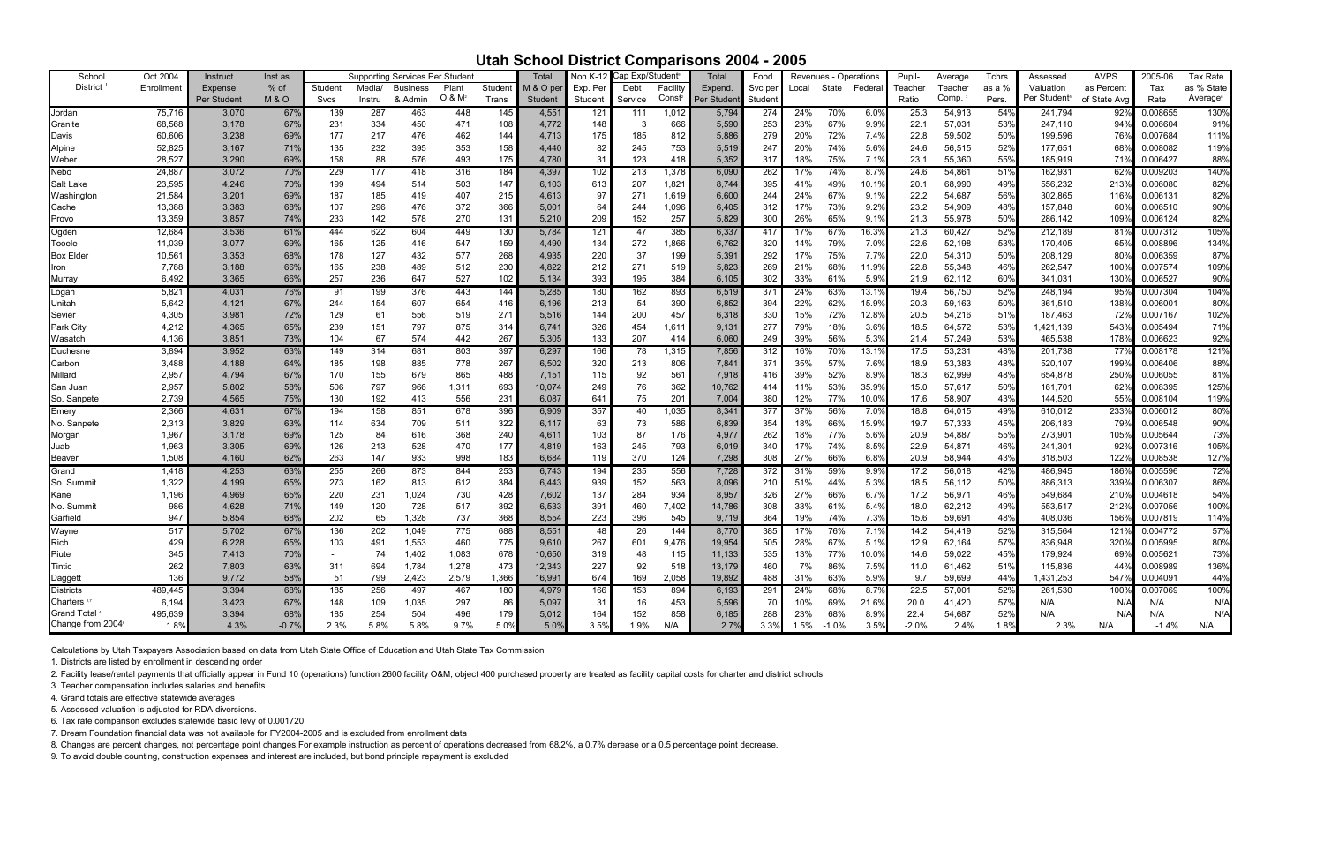## **Utah School District Comparisons 2004 - 2005**

| School                        | Oct 2004   | Instruct    | Inst as        |         |        | <b>Supporting Services Per Student</b> |                    |        | Total     | Non K-12 | Cap Exp/Student |          | <b>Total</b> | Food    |       | Revenues - Operations |         | Pupil-  | Average | Tchrs        | Assessed                 | <b>AVPS</b>      | 2005-06  | Tax Rate   |
|-------------------------------|------------|-------------|----------------|---------|--------|----------------------------------------|--------------------|--------|-----------|----------|-----------------|----------|--------------|---------|-------|-----------------------|---------|---------|---------|--------------|--------------------------|------------------|----------|------------|
| <b>District</b>               | Enrollment |             | % of           | Student | Media/ | <b>Business</b>                        | Plant              | Studen | M & O per |          | Debt            | Facility | Expend.      |         |       | State                 | Federal | Teacher | Teacher | as a %       | Valuation                | as Percent       | Tax      | as % State |
|                               |            | Expense     |                |         |        |                                        | O & M <sup>2</sup> |        |           | Exp. Per |                 | Const    |              | Svc per | Local |                       |         |         | Comp.   |              | Per Student <sup>s</sup> |                  |          | Average®   |
|                               |            | Per Student | <b>M&amp;O</b> | Svcs    | Instru | & Admin                                |                    | Trans  | Student   | Student  | Service         |          | Per Student  | Student |       |                       |         | Ratio   |         | Pers.        |                          | of State Avo     | Rate     |            |
| Jordan                        | 75,716     | 3,070       | 67%            | 139     | 287    | 463                                    | 448                | 145    | 4,551     | 121      | 111             | 1,012    | 5,794        | 274     | 24%   | 70%                   | 6.0%    | 25.3    | 54,913  | $54^{\circ}$ | 241,794                  | $92^\circ$       | 0.008655 | 130%       |
| Granite                       | 68,568     | 3,178       | 67%            | 231     | 334    | 450                                    | 471                | 108    | 4,772     | 148      | -3              | 666      | 5,590        | 253     | 23%   | 67%                   | 9.9%    | 22.1    | 57,031  | 53%          | 247,110                  | 94'              | 0.006604 | 91%        |
| Davis                         | 60,606     | 3,238       | 69%            | 177     | 217    | 476                                    | 462                | 144    | 4,713     | 175      | 185             | 812      | 5,886        | 279     | 20%   | 72%                   | 7.4%    | 22.8    | 59,502  | 50%          | 199,596                  | 76               | 0.007684 | 111%       |
| Alpine                        | 52,825     | 3,167       | 71%            | 135     | 232    | 395                                    | 353                | 158    | 4,440     | 82       | 245             | 753      | 5,519        | 247     | 20%   | 74%                   | 5.6%    | 24.6    | 56,515  | 52%          | 177,651                  | 68               | 0.008082 | 119%       |
| Weber                         | 28,527     | 3,290       | 69%            | 158     | 88     | 576                                    | 493                | 175    | 4,780     | 31       | 123             | 418      | 5,352        | 317     | 18%   | 75%                   | 7.1%    | 23.1    | 55,360  | 55%          | 185,919                  | 71%              | 0.006427 | 88%        |
|                               |            |             |                |         |        |                                        |                    |        |           |          |                 |          |              |         |       |                       |         |         |         |              |                          |                  |          |            |
| Nebo                          | 24,887     | 3,072       | 70%            | 229     | 177    | 418                                    | 316                | 184    | 4,397     | 102      | 213             | 1,378    | 6,090        | 262     | 17%   | 74%                   | 8.7%    | 24.6    | 54,861  | 51%          | 162,931                  | 62 <sup>c</sup>  | 0.009203 | 140%       |
| Salt Lake                     | 23,595     | 4,246       | 70%            | 199     | 494    | 514                                    | 503                | 147    | 6,103     | 613      | 207             | 1,821    | 8,744        | 395     | 41%   | 49%                   | 10.1%   | 20.1    | 68,990  | 49%          | 556,232                  | 213'             | 0.006080 | 82%        |
| Washington                    | 21,584     | 3,201       | 69%            | 187     | 185    | 419                                    | 407                | 215    | 4,613     | 97       | 271             | 1,619    | 6,600        | 244     | 24%   | 67%                   | 9.1%    | 22.2    | 54,687  | 56%          | 302,865                  | 116              | 0.006131 | 82%        |
| Cache                         | 13,388     | 3,383       | 68%            | 107     | 296    | 476                                    | 372                | 366    | 5,001     | 64       | 244             | 1,096    | 6.405        | 312     | 17%   | 73%                   | 9.2%    | 23.2    | 54,909  | 48%          | 157,848                  | 60               | 0.006510 | 90%        |
| Provo                         | 13,359     | 3,857       | 74%            | 233     | 142    | 578                                    | 270                | 131    | 5,210     | 209      | 152             | 257      | 5,829        | 300     | 26%   | 65%                   | 9.1%    | 21.3    | 55,978  | 50%          | 286,142                  | 109 <sup>o</sup> | 0.006124 | 82%        |
| Ogden                         | 12,684     | 3,536       | 61%            | 444     | 622    | 604                                    | 449                | 130    | 5,784     | 121      | 47              | 385      | 6,337        | 417     | 17%   | 67%                   | 16.3%   | 21.3    | 60,427  | 52%          | 212,189                  | 81'              | 0.007312 | 105%       |
|                               |            |             |                |         |        | 416                                    |                    |        |           |          |                 |          |              |         |       | 79%                   |         |         |         |              |                          |                  |          |            |
| Tooele                        | 11,039     | 3,077       | 69%            | 165     | 125    |                                        | 547                | 159    | 4,490     | 134      | 272             | 1,866    | 6,762        | 320     | 14%   |                       | 7.0%    | 22.6    | 52,198  | 53%          | 170,405                  | 65%              | 0.008896 | 134%       |
| <b>Box Elder</b>              | 10,561     | 3,353       | 68%            | 178     | 127    | 432                                    | 577                | 268    | 4,935     | 220      | 37              | 199      | 5,391        | 292     | 17%   | 75%                   | 7.7%    | 22.0    | 54,310  | 50%          | 208,129                  | 80               | 0.006359 | 87%        |
| Iron                          | 7,788      | 3,188       | 66%            | 165     | 238    | 489                                    | 512                | 230    | 4,822     | 212      | 271             | 519      | 5,823        | 269     | 21%   | 68%                   | 11.9%   | 22.8    | 55,348  | 46%          | 262,547                  | 100              | 0.007574 | 109%       |
| Murray                        | 6,492      | 3,365       | 66%            | 257     | 236    | 647                                    | 527                | 102    | 5,134     | 393      | 195             | 384      | 6.105        | 302     | 33%   | 61%                   | 5.9%    | 21.9    | 62,112  | 60%          | 341,031                  | 130'             | 0.006527 | 90%        |
| Logan                         | 5,821      | 4,031       | 76%            | 91      | 199    | 376                                    | 443                | 144    | 5,285     | 180      | 162             | 893      | 6,519        | 37'     | 24%   | 63%                   | 13.1%   | 19.4    | 56,750  | 52%          | 248,194                  | $95^{\circ}$     | 0.007304 | 104%       |
| Unitah                        | 5,642      | 4,121       | 67%            | 244     | 154    | 607                                    | 654                | 416    | 6,196     | 213      | 54              | 390      | 6,852        | 394     | 22%   | 62%                   | 15.9%   | 20.3    | 59,163  | 50%          | 361,510                  | 138 <sup>c</sup> | 0.006001 | 80%        |
| Sevier                        | 4,305      | 3,981       | 72%            | 129     | 61     | 556                                    | 519                | 271    | 5,516     | 144      | 200             | 457      | 6,318        | 330     | 15%   | 72%                   | 12.8%   | 20.5    | 54,216  | 51%          | 187,463                  | 72%              | 0.007167 | 102%       |
|                               |            |             |                |         |        |                                        |                    |        |           |          |                 |          |              |         |       |                       |         |         |         |              |                          |                  |          |            |
| Park City                     | 4,212      | 4,365       | 65%            | 239     | 151    | 797                                    | 875                | 314    | 6,741     | 326      | 454             | 1,611    | 9,131        | 277     | 79%   | 18%                   | 3.6%    | 18.5    | 64,572  | 53%          | 1,421,139                | 543%             | 0.005494 | 71%        |
| Wasatch                       | 4,136      | 3,851       | 73%            | 104     | 67     | 574                                    | 442                | 267    | 5,305     | 133      | 207             | 414      | 6,060        | 249     | 39%   | 56%                   | 5.3%    | 21.4    | 57,249  | 53%          | 465,538                  | 178              | 0.006623 | 92%        |
| Duchesne                      | 3,894      | 3,952       | 63%            | 149     | 314    | 681                                    | 803                | 397    | 6,297     | 166      | 78              | 1,315    | 7,856        | 312     | 16%   | 70%                   | 13.1%   | 17.5    | 53,231  | 48%          | 201,738                  | 77               | 0.008178 | 121%       |
| Carbon                        | 3,488      | 4,188       | 64%            | 185     | 198    | 885                                    | 778                | 267    | 6,502     | 320      | 213             | 806      | 7,841        | 371     | 35%   | 57%                   | 7.6%    | 18.9    | 53,383  | 48%          | 520,107                  | 199              | 0.006406 | 88%        |
| Millard                       | 2,957      | 4,794       | 67%            | 170     | 155    | 679                                    | 865                | 488    | 7,151     | 115      | 92              | 561      | 7,918        | 416     | 39%   | 52%                   | 8.9%    | 18.3    | 62,999  | 48%          | 654,878                  | 250              | 0.006055 | 81%        |
| San Juan                      | 2,957      | 5,802       | 58%            | 506     | 797    | 966                                    | 1,311              | 693    | 10,074    | 249      | 76              | 362      | 10,762       | 414     | 11%   | 53%                   | 35.9%   | 15.0    | 57,617  | 50%          | 161,701                  | 62 <sup>c</sup>  | 0.008395 | 125%       |
| So. Sanpete                   | 2,739      | 4,565       | 75%            | 130     | 192    | 413                                    | 556                | 231    | 6,087     | 641      | 75              | 201      | 7,004        | 380     | 12%   | 77%                   | 10.0%   | 17.6    | 58,907  | 43%          | 144,520                  | 55%              | 0.008104 | 119%       |
|                               | 2,366      | 4,631       | 67%            | 194     | 158    | 851                                    | 678                | 396    | 6,909     | 357      | 40              | 1,035    | 8,341        | 377     | 37%   | 56%                   | 7.0%    | 18.8    |         | 49%          | 610,012                  | 233              | 0.006012 | 80%        |
| Emery                         |            |             |                |         |        |                                        |                    |        |           |          |                 |          |              |         |       |                       |         |         | 64,015  |              |                          |                  |          |            |
| No. Sanpete                   | 2,313      | 3,829       | 63%            | 114     | 634    | 709                                    | 511                | 322    | 6,117     | 63       | 73              | 586      | 6,839        | 354     | 18%   | 66%                   | 15.9%   | 19.7    | 57,333  | 45%          | 206,183                  | 79 <sup>c</sup>  | 0.006548 | 90%        |
| Morgan                        | 1,967      | 3,178       | 69%            | 125     | 84     | 616                                    | 368                | 240    | 4,61'     | 103      | 87              | 176      | 4,977        | 262     | 18%   | 77%                   | 5.6%    | 20.9    | 54,887  | 55%          | 273,901                  | 105              | 0.005644 | 73%        |
| Juab                          | 1,963      | 3,305       | 69%            | 126     | 213    | 528                                    | 470                | 177    | 4,819     | 163      | 245             | 793      | 6,019        | 340     | 17%   | 74%                   | 8.5%    | 22.9    | 54,871  | 46%          | 241,301                  | 92'              | 0.007316 | 105%       |
| Beaver                        | 1,508      | 4,160       | 62%            | 263     | 147    | 933                                    | 998                | 183    | 6,684     | 119      | 370             | 124      | 7,298        | 308     | 27%   | 66%                   | 6.8%    | 20.9    | 58,944  | 43%          | 318,503                  | 122'             | 0.008538 | 127%       |
| Grand                         | 1,418      | 4,253       | 63%            | 255     | 266    | 873                                    | 844                | 253    | 6,743     | 194      | 235             | 556      | 7,728        | 372     | 31%   | 59%                   | 9.9%    | 17.2    | 56,018  | 42%          | 486,945                  | 186              | 0.005596 | 72%        |
| So. Summit                    | 1,322      | 4,199       | 65%            | 273     | 162    | 813                                    | 612                | 384    | 6,443     | 939      | 152             | 563      | 8,096        | 210     | 51%   | 44%                   | 5.3%    | 18.5    | 56,112  | 50%          | 886,313                  | 339'             | 0.006307 | 86%        |
| Kane                          | 1,196      | 4,969       | 65%            | 220     | 231    | 1,024                                  | 730                | 428    | 7,602     | 137      | 284             | 934      | 8,957        | 326     | 27%   | 66%                   | 6.7%    | 17.2    | 56,971  | 46%          | 549,684                  | 210              | 0.004618 | 54%        |
|                               | 986        | 4,628       | 71%            | 149     | 120    | 728                                    | 517                | 392    | 6,533     | 391      | 460             | 7,402    | 14,786       | 308     | 33%   | 61%                   | 5.4%    | 18.0    | 62,212  | 49%          | 553,517                  |                  | 0.007056 | 100%       |
| No. Summi                     |            |             |                |         |        |                                        |                    |        |           |          |                 |          |              |         |       |                       |         |         |         |              |                          | 212              |          |            |
| Garfield                      | 947        | 5,854       | 68%            | 202     | 65     | 1,328                                  | 737                | 368    | 8,554     | 223      | 396             | 545      | 9.719        | 364     | 19%   | 74%                   | 7.3%    | 15.6    | 59,691  | 48%          | 408,036                  | 156 <sup>°</sup> | 0.007819 | 114%       |
| Wayne                         | 517        | 5,702       | 67%            | 136     | 202    | 1,049                                  | 775                | 688    | 8,551     | 48       | 26              | 144      | 8,770        | 385     | 17%   | 76%                   | 7.1%    | 14.2    | 54,419  | 52%          | 315,564                  | 121'             | 0.004772 | 57%        |
| Rich                          | 429        | 6,228       | 65%            | 103     | 491    | 1,553                                  | 460                | 775    | 9,610     | 267      | 601             | 9,476    | 19,954       | 505     | 28%   | 67%                   | 5.1%    | 12.9    | 62,164  | 57%          | 836,948                  | 3209             | 0.005995 | 80%        |
| Piute                         | 345        | 7,413       | 70%            |         | 74     | 1,402                                  | 1,083              | 678    | 10,650    | 319      | 48              | 115      | 11,133       | 535     | 13%   | 77%                   | 10.0%   | 14.6    | 59,022  | 45%          | 179,924                  | 69'              | 0.005621 | 73%        |
| Tintic                        | 262        | 7,803       | 63%            | 311     | 694    | 1.784                                  | 1,278              | 473    | 12,343    | 227      | 92              | 518      | 13,179       | 460     | 7%    | 86%                   | 7.5%    | 11.0    | 61,462  | 51%          | 115,836                  | $44^{\circ}$     | 0.008989 | 136%       |
| Daggett                       | 136        | 9,772       | 58%            | 51      | 799    | 2,423                                  | 2,579              | 1,366  | 16,991    | 674      | 169             | 2,058    | 19,892       | 488     | 31%   | 63%                   | 5.9%    | 9.7     | 59,699  | 44%          | 1,431,253                | 547 <sup>°</sup> | 0.004091 | 44%        |
|                               |            |             |                |         |        |                                        |                    |        |           |          |                 |          |              |         | 24%   | 68%                   |         |         |         |              |                          |                  |          | 100%       |
| Districts                     | 489,445    | 3,394       | 68%            | 185     | 256    | 497                                    | 467                | 180    | 4,979     | 166      | 153             | 894      | 6,193        | 291     |       |                       | 8.7%    | 22.5    | 57,001  | 52%          | 261,530                  | 100              | 0.007069 |            |
| Charters <sup>2,7</sup>       | 6,194      | 3,423       | 67%            | 148     | 109    | 1,035                                  | 297                | 86     | 5,097     | 31       | 16              | 453      | 5,596        | 70      | 10%   | 69%                   | 21.6%   | 20.0    | 41,420  | 57%          | N/A                      | N/               | N/A      | N/A        |
| <b>Grand Total</b>            | 495,639    | 3,394       | 68%            | 185     | 254    | 504                                    | 496                | 179    | 5,012     | 164      | 152             | 858      | 6,185        | 288     | 23%   | 68%                   | 8.9%    | 22.4    | 54,687  | 52%          | N/A                      | N/f              | N/A      | N/A        |
| Change from 2004 <sup>®</sup> | 1.8%       | 4.3%        | $-0.7%$        | 2.3%    | 5.8%   | 5.8%                                   | 9.7%               | 5.0%   | 5.0%      | 3.5%     | 1.9%            | N/A      | 2.7%         | 3.3%    | 1.5%  | $-1.0%$               | 3.5%    | $-2.0%$ | 2.4%    | 1.8%         | 2.3%                     | N/A              | $-1.4%$  | N/A        |

Calculations by Utah Taxpayers Association based on data from Utah State Office of Education and Utah State Tax Commission

1. Districts are listed by enrollment in descending order

2. Facility lease/rental payments that officially appear in Fund 10 (operations) function 2600 facility O&M, object 400 purchased property are treated as facility capital costs for charter and district schools

3. Teacher compensation includes salaries and benefits

4. Grand totals are effective statewide averages

5. Assessed valuation is adjusted for RDA diversions.

6. Tax rate comparison excludes statewide basic levy of 0.001720

7. Dream Foundation financial data was not available for FY2004-2005 and is excluded from enrollment data

8. Changes are percent changes, not percentage point changes.For example instruction as percent of operations decreased from 68.2%, a 0.7% derease or a 0.5 percentage point decrease.

9. To avoid double counting, construction expenses and interest are included, but bond principle repayment is excluded